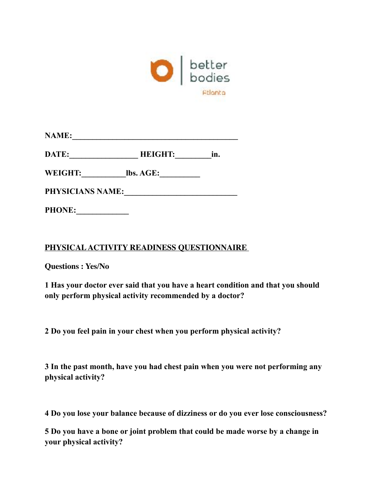

| <b>NAME:</b> |  |  |  |
|--------------|--|--|--|
|              |  |  |  |

DATE: **HEIGHT:** in.

**WEIGHT:\_\_\_\_\_\_\_\_\_\_\_lbs. AGE:\_\_\_\_\_\_\_\_\_\_** 

**PHYSICIANS NAME:\_\_\_\_\_\_\_\_\_\_\_\_\_\_\_\_\_\_\_\_\_\_\_\_\_\_\_\_** 

**PHONE:\_\_\_\_\_\_\_\_\_\_\_\_\_** 

## **PHYSICAL ACTIVITY READINESS QUESTIONNAIRE**

**Questions : Yes/No**

**1 Has your doctor ever said that you have a heart condition and that you should only perform physical activity recommended by a doctor?** 

**2 Do you feel pain in your chest when you perform physical activity?** 

**3 In the past month, have you had chest pain when you were not performing any physical activity?** 

**4 Do you lose your balance because of dizziness or do you ever lose consciousness?** 

**5 Do you have a bone or joint problem that could be made worse by a change in your physical activity?**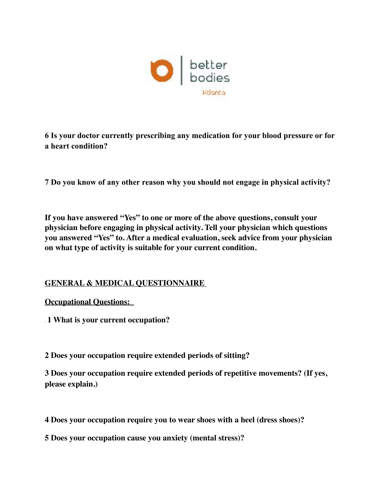

**6 Is your doctor currently prescribing any medication for your blood pressure or for a heart condition?**

**7 Do you know of any other reason why you should not engage in physical activity?** 

**If you have answered "Yes" to one or more of the above questions, consult your physician before engaging in physical activity. Tell your physician which questions you answered "Yes" to. After a medical evaluation, seek advice from your physician on what type of activity is suitable for your current condition.**

## **GENERAL & MEDICAL QUESTIONNAIRE**

**Occupational Questions:** 

 **1 What is your current occupation?** 

**2 Does your occupation require extended periods of sitting?** 

**3 Does your occupation require extended periods of repetitive movements? (If yes, please explain.)**

**4 Does your occupation require you to wear shoes with a heel (dress shoes)?**

**5 Does your occupation cause you anxiety (mental stress)?**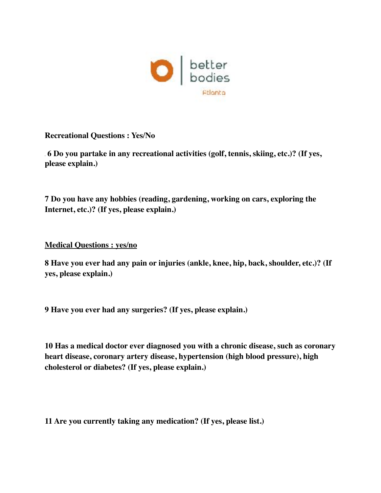

**Recreational Questions : Yes/No** 

 **6 Do you partake in any recreational activities (golf, tennis, skiing, etc.)? (If yes, please explain.)**

**7 Do you have any hobbies (reading, gardening, working on cars, exploring the Internet, etc.)? (If yes, please explain.)**

**Medical Questions : yes/no**

**8 Have you ever had any pain or injuries (ankle, knee, hip, back, shoulder, etc.)? (If yes, please explain.)**

**9 Have you ever had any surgeries? (If yes, please explain.)**

**10 Has a medical doctor ever diagnosed you with a chronic disease, such as coronary heart disease, coronary artery disease, hypertension (high blood pressure), high cholesterol or diabetes? (If yes, please explain.)**

**11 Are you currently taking any medication? (If yes, please list.)**